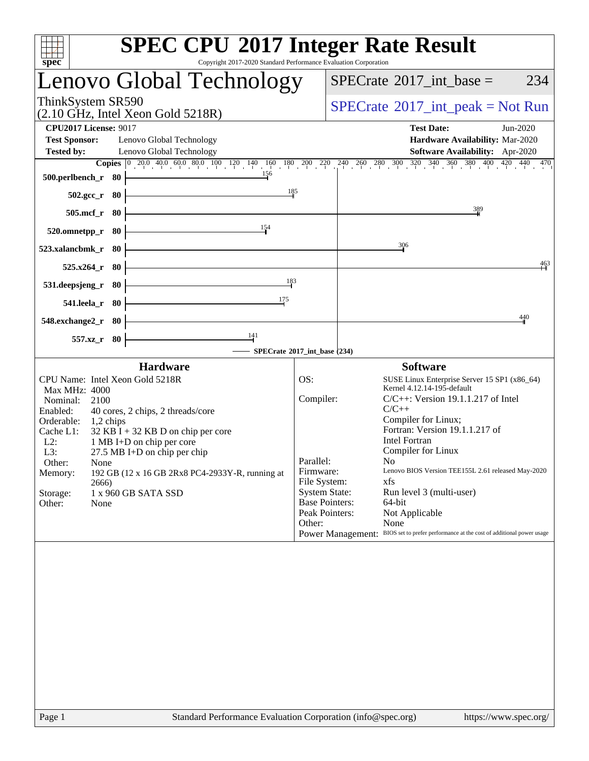| spec                                                                                                                         |                                              | <b>SPEC CPU®2017 Integer Rate Result</b><br>Copyright 2017-2020 Standard Performance Evaluation Corporation                                                                                                                                           |                                                                      |                                                                 |                                                                                                                                                                                                                                                                                                                                                                                                                                                                    |          |  |  |  |
|------------------------------------------------------------------------------------------------------------------------------|----------------------------------------------|-------------------------------------------------------------------------------------------------------------------------------------------------------------------------------------------------------------------------------------------------------|----------------------------------------------------------------------|-----------------------------------------------------------------|--------------------------------------------------------------------------------------------------------------------------------------------------------------------------------------------------------------------------------------------------------------------------------------------------------------------------------------------------------------------------------------------------------------------------------------------------------------------|----------|--|--|--|
|                                                                                                                              |                                              | Lenovo Global Technology                                                                                                                                                                                                                              |                                                                      |                                                                 | $SPECrate^{\circledast}2017\_int\_base =$                                                                                                                                                                                                                                                                                                                                                                                                                          | 234      |  |  |  |
| ThinkSystem SR590                                                                                                            |                                              | (2.10 GHz, Intel Xeon Gold 5218R)                                                                                                                                                                                                                     |                                                                      |                                                                 | $SPECrate^{\circledcirc}2017\_int\_peak = Not Run$                                                                                                                                                                                                                                                                                                                                                                                                                 |          |  |  |  |
| <b>CPU2017 License: 9017</b><br><b>Test Sponsor:</b>                                                                         |                                              | Lenovo Global Technology                                                                                                                                                                                                                              |                                                                      |                                                                 | <b>Test Date:</b><br>Hardware Availability: Mar-2020                                                                                                                                                                                                                                                                                                                                                                                                               | Jun-2020 |  |  |  |
| <b>Tested by:</b>                                                                                                            |                                              | Lenovo Global Technology<br><b>Copies</b> $\begin{bmatrix} 0 & 20 & 0 & 40 & 0 & 60 & 0 & 80 & 100 & 120 & 140 & 160 & 180 & 200 & 220 & 240 & 260 & 280 & 300 & 320 & 340 & 360 & 380 & 400 & 420 & 440 & 470 \end{bmatrix}$<br>$\frac{156}{2}$      |                                                                      |                                                                 | <b>Software Availability:</b> Apr-2020                                                                                                                                                                                                                                                                                                                                                                                                                             |          |  |  |  |
| $500.$ perlbench_r 80<br>$502.\text{gcc}_r$ 80                                                                               |                                              |                                                                                                                                                                                                                                                       | 185                                                                  |                                                                 |                                                                                                                                                                                                                                                                                                                                                                                                                                                                    |          |  |  |  |
| 505.mcf_r 80                                                                                                                 |                                              |                                                                                                                                                                                                                                                       |                                                                      |                                                                 | 389                                                                                                                                                                                                                                                                                                                                                                                                                                                                |          |  |  |  |
| 520.omnetpp_r 80<br>523.xalancbmk_r 80                                                                                       |                                              | 154                                                                                                                                                                                                                                                   |                                                                      |                                                                 | 306                                                                                                                                                                                                                                                                                                                                                                                                                                                                |          |  |  |  |
| $525.x264_r$ 80                                                                                                              |                                              |                                                                                                                                                                                                                                                       |                                                                      |                                                                 |                                                                                                                                                                                                                                                                                                                                                                                                                                                                    | 463      |  |  |  |
| 531.deepsjeng_r 80<br>541.leela_r 80                                                                                         |                                              | <u> 1980 - Johann Barn, fransk politik (</u><br>175                                                                                                                                                                                                   | 183                                                                  |                                                                 |                                                                                                                                                                                                                                                                                                                                                                                                                                                                    |          |  |  |  |
| $548$ .exchange $2\,\text{r}$ 80                                                                                             |                                              |                                                                                                                                                                                                                                                       |                                                                      |                                                                 |                                                                                                                                                                                                                                                                                                                                                                                                                                                                    | 440      |  |  |  |
|                                                                                                                              | 557.xz_r 80                                  | $\frac{141}{1}$<br>- SPECrate®2017_int_base (234)                                                                                                                                                                                                     |                                                                      |                                                                 |                                                                                                                                                                                                                                                                                                                                                                                                                                                                    |          |  |  |  |
|                                                                                                                              |                                              | <b>Hardware</b>                                                                                                                                                                                                                                       |                                                                      | <b>Software</b>                                                 |                                                                                                                                                                                                                                                                                                                                                                                                                                                                    |          |  |  |  |
| Max MHz: 4000<br>Nominal:<br>Enabled:<br>Orderable:<br>Cache L1:<br>$L2$ :<br>L3:<br>Other:<br>Memory:<br>Storage:<br>Other: | 2100<br>$1,2$ chips<br>None<br>2666)<br>None | CPU Name: Intel Xeon Gold 5218R<br>40 cores, 2 chips, 2 threads/core<br>$32$ KB I + 32 KB D on chip per core<br>1 MB I+D on chip per core<br>$27.5$ MB I+D on chip per chip<br>192 GB (12 x 16 GB 2Rx8 PC4-2933Y-R, running at<br>1 x 960 GB SATA SSD | OS:<br>Compiler:<br>Parallel:<br>Firmware:<br>File System:<br>Other: | <b>System State:</b><br><b>Base Pointers:</b><br>Peak Pointers: | SUSE Linux Enterprise Server 15 SP1 (x86_64)<br>Kernel 4.12.14-195-default<br>$C/C++$ : Version 19.1.1.217 of Intel<br>$C/C++$<br>Compiler for Linux;<br>Fortran: Version 19.1.1.217 of<br><b>Intel Fortran</b><br>Compiler for Linux<br>No<br>Lenovo BIOS Version TEE155L 2.61 released May-2020<br>xfs<br>Run level 3 (multi-user)<br>64-bit<br>Not Applicable<br>None<br>Power Management: BIOS set to prefer performance at the cost of additional power usage |          |  |  |  |
|                                                                                                                              |                                              |                                                                                                                                                                                                                                                       |                                                                      |                                                                 |                                                                                                                                                                                                                                                                                                                                                                                                                                                                    |          |  |  |  |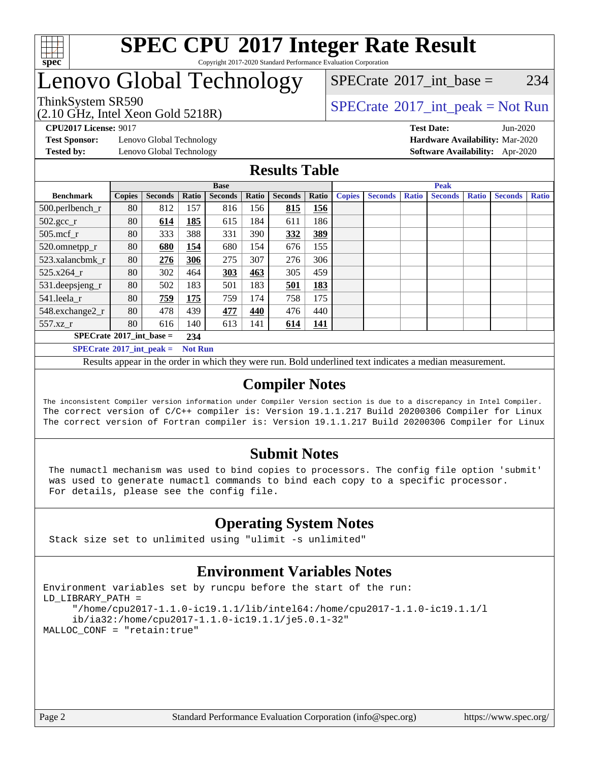

#### **[SPEC CPU](http://www.spec.org/auto/cpu2017/Docs/result-fields.html#SPECCPU2017IntegerRateResult)[2017 Integer Rate Result](http://www.spec.org/auto/cpu2017/Docs/result-fields.html#SPECCPU2017IntegerRateResult)** Copyright 2017-2020 Standard Performance Evaluation Corporation

## Lenovo Global Technology

(2.10 GHz, Intel Xeon Gold 5218R)

ThinkSystem SR590<br>  $SPECTA = Not Run$ <br>  $SPECTA = Not Run$ 

 $SPECTate$ <sup>®</sup>[2017\\_int\\_base =](http://www.spec.org/auto/cpu2017/Docs/result-fields.html#SPECrate2017intbase) 234

**[Test Sponsor:](http://www.spec.org/auto/cpu2017/Docs/result-fields.html#TestSponsor)** Lenovo Global Technology **[Hardware Availability:](http://www.spec.org/auto/cpu2017/Docs/result-fields.html#HardwareAvailability)** Mar-2020

**[CPU2017 License:](http://www.spec.org/auto/cpu2017/Docs/result-fields.html#CPU2017License)** 9017 **[Test Date:](http://www.spec.org/auto/cpu2017/Docs/result-fields.html#TestDate)** Jun-2020 **[Tested by:](http://www.spec.org/auto/cpu2017/Docs/result-fields.html#Testedby)** Lenovo Global Technology **[Software Availability:](http://www.spec.org/auto/cpu2017/Docs/result-fields.html#SoftwareAvailability)** Apr-2020

#### **[Results Table](http://www.spec.org/auto/cpu2017/Docs/result-fields.html#ResultsTable)**

|                                                       | <b>Base</b>   |                |       |                |       |                | <b>Peak</b> |               |                |              |                |              |                |              |
|-------------------------------------------------------|---------------|----------------|-------|----------------|-------|----------------|-------------|---------------|----------------|--------------|----------------|--------------|----------------|--------------|
| <b>Benchmark</b>                                      | <b>Copies</b> | <b>Seconds</b> | Ratio | <b>Seconds</b> | Ratio | <b>Seconds</b> | Ratio       | <b>Copies</b> | <b>Seconds</b> | <b>Ratio</b> | <b>Seconds</b> | <b>Ratio</b> | <b>Seconds</b> | <b>Ratio</b> |
| 500.perlbench_r                                       | 80            | 812            | 157   | 816            | 156   | 815            | 156         |               |                |              |                |              |                |              |
| $502.\text{gcc\_r}$                                   | 80            | 614            | 185   | 615            | 184   | 611            | 186         |               |                |              |                |              |                |              |
| $505$ .mcf r                                          | 80            | 333            | 388   | 331            | 390   | 332            | 389         |               |                |              |                |              |                |              |
| 520.omnetpp_r                                         | 80            | 680            | 154   | 680            | 154   | 676            | 155         |               |                |              |                |              |                |              |
| 523.xalancbmk r                                       | 80            | 276            | 306   | 275            | 307   | 276            | 306         |               |                |              |                |              |                |              |
| 525.x264 r                                            | 80            | 302            | 464   | 303            | 463   | 305            | 459         |               |                |              |                |              |                |              |
| 531.deepsjeng_r                                       | 80            | 502            | 183   | 501            | 183   | 501            | 183         |               |                |              |                |              |                |              |
| 541.leela_r                                           | 80            | 759            | 175   | 759            | 174   | 758            | 175         |               |                |              |                |              |                |              |
| 548.exchange2_r                                       | 80            | 478            | 439   | 477            | 440   | 476            | 440         |               |                |              |                |              |                |              |
| 557.xz r                                              | 80            | 616            | 140   | 613            | 141   | 614            | 141         |               |                |              |                |              |                |              |
| $SPECrate^{\circ}2017$ int base =                     |               |                |       |                |       |                |             |               |                |              |                |              |                |              |
| $SPECrate^{\circ}2017\_int\_peak =$<br><b>Not Run</b> |               |                |       |                |       |                |             |               |                |              |                |              |                |              |

Results appear in the [order in which they were run](http://www.spec.org/auto/cpu2017/Docs/result-fields.html#RunOrder). Bold underlined text [indicates a median measurement](http://www.spec.org/auto/cpu2017/Docs/result-fields.html#Median).

### **[Compiler Notes](http://www.spec.org/auto/cpu2017/Docs/result-fields.html#CompilerNotes)**

The inconsistent Compiler version information under Compiler Version section is due to a discrepancy in Intel Compiler. The correct version of C/C++ compiler is: Version 19.1.1.217 Build 20200306 Compiler for Linux The correct version of Fortran compiler is: Version 19.1.1.217 Build 20200306 Compiler for Linux

### **[Submit Notes](http://www.spec.org/auto/cpu2017/Docs/result-fields.html#SubmitNotes)**

 The numactl mechanism was used to bind copies to processors. The config file option 'submit' was used to generate numactl commands to bind each copy to a specific processor. For details, please see the config file.

### **[Operating System Notes](http://www.spec.org/auto/cpu2017/Docs/result-fields.html#OperatingSystemNotes)**

Stack size set to unlimited using "ulimit -s unlimited"

### **[Environment Variables Notes](http://www.spec.org/auto/cpu2017/Docs/result-fields.html#EnvironmentVariablesNotes)**

```
Environment variables set by runcpu before the start of the run:
LD_LIBRARY_PATH =
      "/home/cpu2017-1.1.0-ic19.1.1/lib/intel64:/home/cpu2017-1.1.0-ic19.1.1/l
      ib/ia32:/home/cpu2017-1.1.0-ic19.1.1/je5.0.1-32"
MALLOC_CONF = "retain:true"
```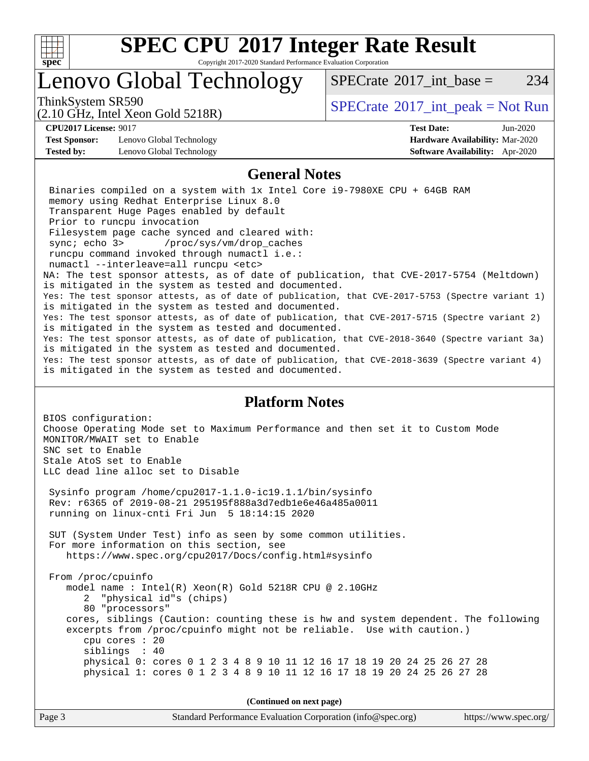

Copyright 2017-2020 Standard Performance Evaluation Corporation

## Lenovo Global Technology

ThinkSystem SR590<br>  $SPECTA = Not Run 2017$  int\_peak = Not Run

[SPECrate](http://www.spec.org/auto/cpu2017/Docs/result-fields.html#SPECrate2017intbase)<sup>®</sup>2017 int base = 234

#### (2.10 GHz, Intel Xeon Gold 5218R)

**[CPU2017 License:](http://www.spec.org/auto/cpu2017/Docs/result-fields.html#CPU2017License)** 9017 **[Test Date:](http://www.spec.org/auto/cpu2017/Docs/result-fields.html#TestDate)** Jun-2020 **[Test Sponsor:](http://www.spec.org/auto/cpu2017/Docs/result-fields.html#TestSponsor)** Lenovo Global Technology **[Hardware Availability:](http://www.spec.org/auto/cpu2017/Docs/result-fields.html#HardwareAvailability)** Mar-2020 **[Tested by:](http://www.spec.org/auto/cpu2017/Docs/result-fields.html#Testedby)** Lenovo Global Technology **[Software Availability:](http://www.spec.org/auto/cpu2017/Docs/result-fields.html#SoftwareAvailability)** Apr-2020

#### **[General Notes](http://www.spec.org/auto/cpu2017/Docs/result-fields.html#GeneralNotes)**

 Binaries compiled on a system with 1x Intel Core i9-7980XE CPU + 64GB RAM memory using Redhat Enterprise Linux 8.0 Transparent Huge Pages enabled by default Prior to runcpu invocation Filesystem page cache synced and cleared with: sync; echo 3> /proc/sys/vm/drop\_caches runcpu command invoked through numactl i.e.: numactl --interleave=all runcpu <etc> NA: The test sponsor attests, as of date of publication, that CVE-2017-5754 (Meltdown) is mitigated in the system as tested and documented. Yes: The test sponsor attests, as of date of publication, that CVE-2017-5753 (Spectre variant 1) is mitigated in the system as tested and documented. Yes: The test sponsor attests, as of date of publication, that CVE-2017-5715 (Spectre variant 2) is mitigated in the system as tested and documented. Yes: The test sponsor attests, as of date of publication, that CVE-2018-3640 (Spectre variant 3a) is mitigated in the system as tested and documented. Yes: The test sponsor attests, as of date of publication, that CVE-2018-3639 (Spectre variant 4) is mitigated in the system as tested and documented.

#### **[Platform Notes](http://www.spec.org/auto/cpu2017/Docs/result-fields.html#PlatformNotes)**

BIOS configuration: Choose Operating Mode set to Maximum Performance and then set it to Custom Mode MONITOR/MWAIT set to Enable SNC set to Enable Stale AtoS set to Enable LLC dead line alloc set to Disable Sysinfo program /home/cpu2017-1.1.0-ic19.1.1/bin/sysinfo Rev: r6365 of 2019-08-21 295195f888a3d7edb1e6e46a485a0011 running on linux-cnti Fri Jun 5 18:14:15 2020 SUT (System Under Test) info as seen by some common utilities. For more information on this section, see <https://www.spec.org/cpu2017/Docs/config.html#sysinfo> From /proc/cpuinfo model name : Intel(R) Xeon(R) Gold 5218R CPU @ 2.10GHz 2 "physical id"s (chips) 80 "processors" cores, siblings (Caution: counting these is hw and system dependent. The following excerpts from /proc/cpuinfo might not be reliable. Use with caution.) cpu cores : 20 siblings : 40 physical 0: cores 0 1 2 3 4 8 9 10 11 12 16 17 18 19 20 24 25 26 27 28 physical 1: cores 0 1 2 3 4 8 9 10 11 12 16 17 18 19 20 24 25 26 27 28

**(Continued on next page)**

| Page 3 | Standard Performance Evaluation Corporation (info@spec.org) | https://www.spec.org/ |
|--------|-------------------------------------------------------------|-----------------------|
|--------|-------------------------------------------------------------|-----------------------|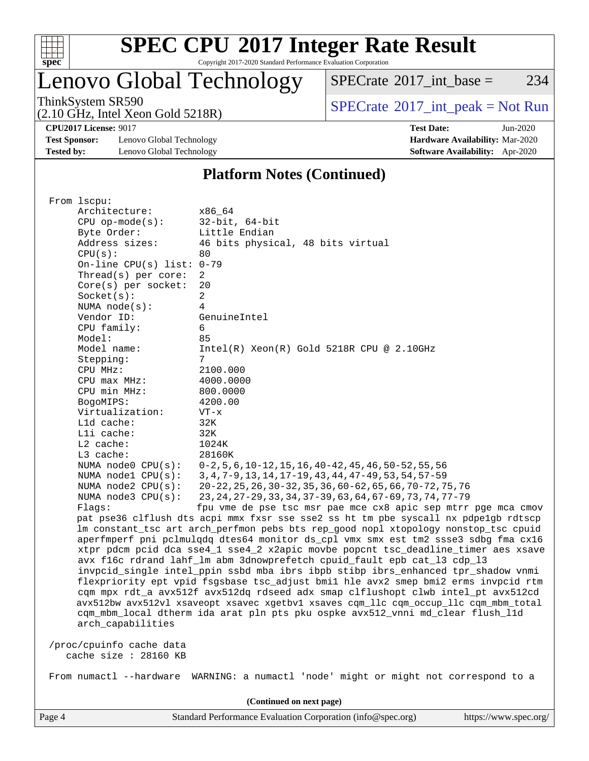

Copyright 2017-2020 Standard Performance Evaluation Corporation

## Lenovo Global Technology

 $SPECTate$ <sup>®</sup>[2017\\_int\\_base =](http://www.spec.org/auto/cpu2017/Docs/result-fields.html#SPECrate2017intbase) 234

(2.10 GHz, Intel Xeon Gold 5218R)

ThinkSystem SR590<br>  $(2.10 \text{ GHz. Intel Yoon Gold 5218B})$  [SPECrate](http://www.spec.org/auto/cpu2017/Docs/result-fields.html#SPECrate2017intpeak)®[2017\\_int\\_peak = N](http://www.spec.org/auto/cpu2017/Docs/result-fields.html#SPECrate2017intpeak)ot Run

**[CPU2017 License:](http://www.spec.org/auto/cpu2017/Docs/result-fields.html#CPU2017License)** 9017 **[Test Date:](http://www.spec.org/auto/cpu2017/Docs/result-fields.html#TestDate)** Jun-2020

**[Test Sponsor:](http://www.spec.org/auto/cpu2017/Docs/result-fields.html#TestSponsor)** Lenovo Global Technology **[Hardware Availability:](http://www.spec.org/auto/cpu2017/Docs/result-fields.html#HardwareAvailability)** Mar-2020 **[Tested by:](http://www.spec.org/auto/cpu2017/Docs/result-fields.html#Testedby)** Lenovo Global Technology **[Software Availability:](http://www.spec.org/auto/cpu2017/Docs/result-fields.html#SoftwareAvailability)** Apr-2020

#### **[Platform Notes \(Continued\)](http://www.spec.org/auto/cpu2017/Docs/result-fields.html#PlatformNotes)**

| x86_64                                                                               |
|--------------------------------------------------------------------------------------|
| $32$ -bit, $64$ -bit                                                                 |
| Little Endian                                                                        |
| 46 bits physical, 48 bits virtual                                                    |
| 80                                                                                   |
| On-line CPU(s) list: $0-79$                                                          |
| $\overline{2}$                                                                       |
| 20                                                                                   |
| $\overline{a}$                                                                       |
| 4                                                                                    |
| GenuineIntel                                                                         |
| 6                                                                                    |
| 85                                                                                   |
| $Intel(R) Xeon(R) Gold 5218R CPU @ 2.10GHz$                                          |
| 7                                                                                    |
| 2100.000                                                                             |
| 4000.0000                                                                            |
| 800.0000                                                                             |
| 4200.00                                                                              |
| $VT - x$                                                                             |
| 32K                                                                                  |
| 32K                                                                                  |
| 1024K                                                                                |
| 28160K                                                                               |
| $0-2, 5, 6, 10-12, 15, 16, 40-42, 45, 46, 50-52, 55, 56$                             |
| 3, 4, 7-9, 13, 14, 17-19, 43, 44, 47-49, 53, 54, 57-59                               |
| 20-22, 25, 26, 30-32, 35, 36, 60-62, 65, 66, 70-72, 75, 76                           |
| 23, 24, 27-29, 33, 34, 37-39, 63, 64, 67-69, 73, 74, 77-79                           |
| fpu vme de pse tsc msr pae mce cx8 apic sep mtrr pge mca cmov                        |
| pat pse36 clflush dts acpi mmx fxsr sse sse2 ss ht tm pbe syscall nx pdpelgb rdtscp  |
| lm constant_tsc art arch_perfmon pebs bts rep_good nopl xtopology nonstop_tsc cpuid  |
| aperfmperf pni pclmulqdq dtes64 monitor ds_cpl vmx smx est tm2 ssse3 sdbg fma cx16   |
| xtpr pdcm pcid dca sse4_1 sse4_2 x2apic movbe popcnt tsc_deadline_timer aes xsave    |
| avx f16c rdrand lahf_lm abm 3dnowprefetch cpuid_fault epb cat_13 cdp_13              |
| invpcid_single intel_ppin ssbd mba ibrs ibpb stibp ibrs_enhanced tpr_shadow vnmi     |
| flexpriority ept vpid fsgsbase tsc_adjust bmil hle avx2 smep bmi2 erms invpcid rtm   |
| cqm mpx rdt_a avx512f avx512dq rdseed adx smap clflushopt clwb intel_pt avx512cd     |
| avx512bw avx512vl xsaveopt xsavec xgetbv1 xsaves cqm_llc cqm_occup_llc cqm_mbm_total |
| cqm_mbm_local dtherm ida arat pln pts pku ospke avx512_vnni md_clear flush_l1d       |
|                                                                                      |
|                                                                                      |
|                                                                                      |
|                                                                                      |
| WARNING: a numactl 'node' might or might not correspond to a                         |
|                                                                                      |
| (Continued on next page)                                                             |
|                                                                                      |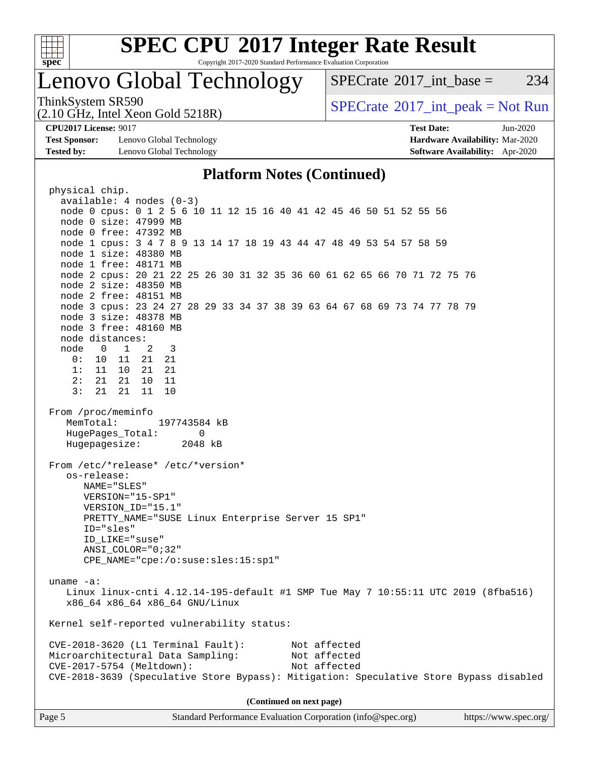

Copyright 2017-2020 Standard Performance Evaluation Corporation

## Lenovo Global Technology

 $SPECTate^{\circ}2017$  int base = 234

ThinkSystem SR590<br>  $SPECTA = Not Run$ <br>  $SPECTA = Not Run$ 

**[Test Sponsor:](http://www.spec.org/auto/cpu2017/Docs/result-fields.html#TestSponsor)** Lenovo Global Technology **[Hardware Availability:](http://www.spec.org/auto/cpu2017/Docs/result-fields.html#HardwareAvailability)** Mar-2020 **[Tested by:](http://www.spec.org/auto/cpu2017/Docs/result-fields.html#Testedby)** Lenovo Global Technology **[Software Availability:](http://www.spec.org/auto/cpu2017/Docs/result-fields.html#SoftwareAvailability)** Apr-2020

(2.10 GHz, Intel Xeon Gold 5218R)

**[CPU2017 License:](http://www.spec.org/auto/cpu2017/Docs/result-fields.html#CPU2017License)** 9017 **[Test Date:](http://www.spec.org/auto/cpu2017/Docs/result-fields.html#TestDate)** Jun-2020

#### **[Platform Notes \(Continued\)](http://www.spec.org/auto/cpu2017/Docs/result-fields.html#PlatformNotes)**

Page 5 Standard Performance Evaluation Corporation [\(info@spec.org\)](mailto:info@spec.org) <https://www.spec.org/> physical chip. available: 4 nodes (0-3) node 0 cpus: 0 1 2 5 6 10 11 12 15 16 40 41 42 45 46 50 51 52 55 56 node 0 size: 47999 MB node 0 free: 47392 MB node 1 cpus: 3 4 7 8 9 13 14 17 18 19 43 44 47 48 49 53 54 57 58 59 node 1 size: 48380 MB node 1 free: 48171 MB node 2 cpus: 20 21 22 25 26 30 31 32 35 36 60 61 62 65 66 70 71 72 75 76 node 2 size: 48350 MB node 2 free: 48151 MB node 3 cpus: 23 24 27 28 29 33 34 37 38 39 63 64 67 68 69 73 74 77 78 79 node 3 size: 48378 MB node 3 free: 48160 MB node distances: node 0 1 2 3 0: 10 11 21 21 1: 11 10 21 21 2: 21 21 10 11 3: 21 21 11 10 From /proc/meminfo MemTotal: 197743584 kB HugePages Total: 0 Hugepagesize: 2048 kB From /etc/\*release\* /etc/\*version\* os-release: NAME="SLES" VERSION="15-SP1" VERSION\_ID="15.1" PRETTY\_NAME="SUSE Linux Enterprise Server 15 SP1" ID="sles" ID\_LIKE="suse" ANSI\_COLOR="0;32" CPE\_NAME="cpe:/o:suse:sles:15:sp1" uname -a: Linux linux-cnti 4.12.14-195-default #1 SMP Tue May 7 10:55:11 UTC 2019 (8fba516) x86\_64 x86\_64 x86\_64 GNU/Linux Kernel self-reported vulnerability status: CVE-2018-3620 (L1 Terminal Fault): Not affected Microarchitectural Data Sampling: CVE-2017-5754 (Meltdown): Not affected CVE-2018-3639 (Speculative Store Bypass): Mitigation: Speculative Store Bypass disabled **(Continued on next page)**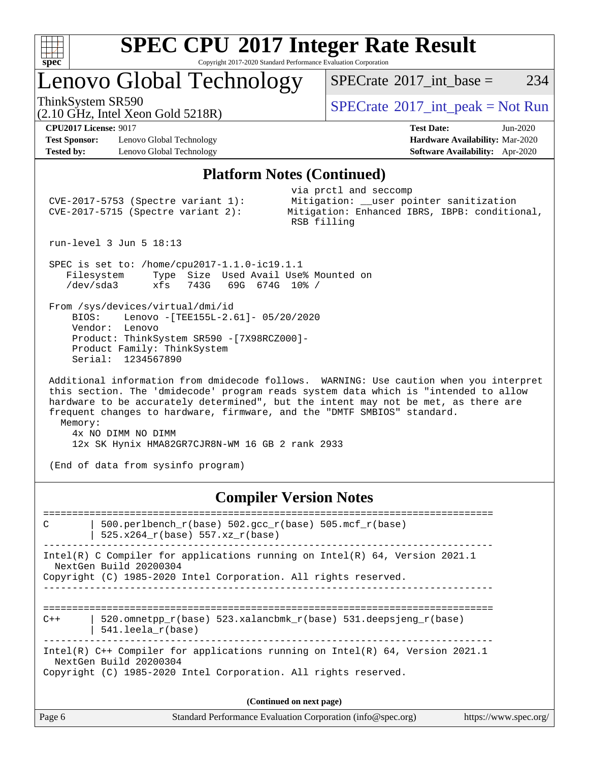

Copyright 2017-2020 Standard Performance Evaluation Corporation

## Lenovo Global Technology

 $SPECTate$ <sup>®</sup>[2017\\_int\\_base =](http://www.spec.org/auto/cpu2017/Docs/result-fields.html#SPECrate2017intbase) 234

(2.10 GHz, Intel Xeon Gold 5218R)

ThinkSystem SR590<br>  $(2.10 \text{ GHz. Intel Yoon Gold 5218B})$  [SPECrate](http://www.spec.org/auto/cpu2017/Docs/result-fields.html#SPECrate2017intpeak)®[2017\\_int\\_peak = N](http://www.spec.org/auto/cpu2017/Docs/result-fields.html#SPECrate2017intpeak)ot Run

**[Test Sponsor:](http://www.spec.org/auto/cpu2017/Docs/result-fields.html#TestSponsor)** Lenovo Global Technology **[Hardware Availability:](http://www.spec.org/auto/cpu2017/Docs/result-fields.html#HardwareAvailability)** Mar-2020 **[Tested by:](http://www.spec.org/auto/cpu2017/Docs/result-fields.html#Testedby)** Lenovo Global Technology **[Software Availability:](http://www.spec.org/auto/cpu2017/Docs/result-fields.html#SoftwareAvailability)** Apr-2020

**[CPU2017 License:](http://www.spec.org/auto/cpu2017/Docs/result-fields.html#CPU2017License)** 9017 **[Test Date:](http://www.spec.org/auto/cpu2017/Docs/result-fields.html#TestDate)** Jun-2020

#### **[Platform Notes \(Continued\)](http://www.spec.org/auto/cpu2017/Docs/result-fields.html#PlatformNotes)**

| $CVE-2017-5753$ (Spectre variant 1):<br>$CVE-2017-5715$ (Spectre variant 2):                                                                                                                                                                                                                                                                                                                                                       | via prctl and seccomp<br>Mitigation: __user pointer sanitization<br>Mitigation: Enhanced IBRS, IBPB: conditional,<br>RSB filling |  |  |  |  |  |  |  |  |
|------------------------------------------------------------------------------------------------------------------------------------------------------------------------------------------------------------------------------------------------------------------------------------------------------------------------------------------------------------------------------------------------------------------------------------|----------------------------------------------------------------------------------------------------------------------------------|--|--|--|--|--|--|--|--|
| run-level $3$ Jun $5$ 18:13                                                                                                                                                                                                                                                                                                                                                                                                        |                                                                                                                                  |  |  |  |  |  |  |  |  |
| SPEC is set to: /home/cpu2017-1.1.0-ic19.1.1<br>Filesystem Type Size Used Avail Use% Mounted on<br>/dev/sda3<br>xfs 743G 69G 674G 10% /                                                                                                                                                                                                                                                                                            |                                                                                                                                  |  |  |  |  |  |  |  |  |
| From /sys/devices/virtual/dmi/id<br>BIOS: Lenovo - [TEE155L-2.61] - 05/20/2020<br>Vendor: Lenovo<br>Product: ThinkSystem SR590 -[7X98RCZ000]-<br>Product Family: ThinkSystem<br>Serial: 1234567890                                                                                                                                                                                                                                 |                                                                                                                                  |  |  |  |  |  |  |  |  |
| Additional information from dmidecode follows. WARNING: Use caution when you interpret<br>this section. The 'dmidecode' program reads system data which is "intended to allow<br>hardware to be accurately determined", but the intent may not be met, as there are<br>frequent changes to hardware, firmware, and the "DMTF SMBIOS" standard.<br>Memory:<br>4x NO DIMM NO DIMM<br>12x SK Hynix HMA82GR7CJR8N-WM 16 GB 2 rank 2933 |                                                                                                                                  |  |  |  |  |  |  |  |  |
| (End of data from sysinfo program)                                                                                                                                                                                                                                                                                                                                                                                                 |                                                                                                                                  |  |  |  |  |  |  |  |  |
| <b>Compiler Version Notes</b>                                                                                                                                                                                                                                                                                                                                                                                                      |                                                                                                                                  |  |  |  |  |  |  |  |  |
| 500.perlbench_r(base) 502.gcc_r(base) 505.mcf_r(base)<br>C<br>525.x264 $r(base)$ 557.xz $r(base)$                                                                                                                                                                                                                                                                                                                                  |                                                                                                                                  |  |  |  |  |  |  |  |  |
| Intel(R) C Compiler for applications running on Intel(R) $64$ , Version 2021.1<br>NextGen Build 20200304<br>Copyright (C) 1985-2020 Intel Corporation. All rights reserved.                                                                                                                                                                                                                                                        |                                                                                                                                  |  |  |  |  |  |  |  |  |
| 520.omnetpp_r(base) 523.xalancbmk_r(base) 531.deepsjeng_r(base)<br>$C++$<br>541.leela r(base)                                                                                                                                                                                                                                                                                                                                      |                                                                                                                                  |  |  |  |  |  |  |  |  |

Intel(R) C++ Compiler for applications running on Intel(R) 64, Version 2021.1 NextGen Build 20200304

Copyright (C) 1985-2020 Intel Corporation. All rights reserved.

| (Continued on next page)                                                                       |  |
|------------------------------------------------------------------------------------------------|--|
| Standard Performance Evaluation Corporation (info@spec.org)<br>Page 6<br>https://www.spec.org/ |  |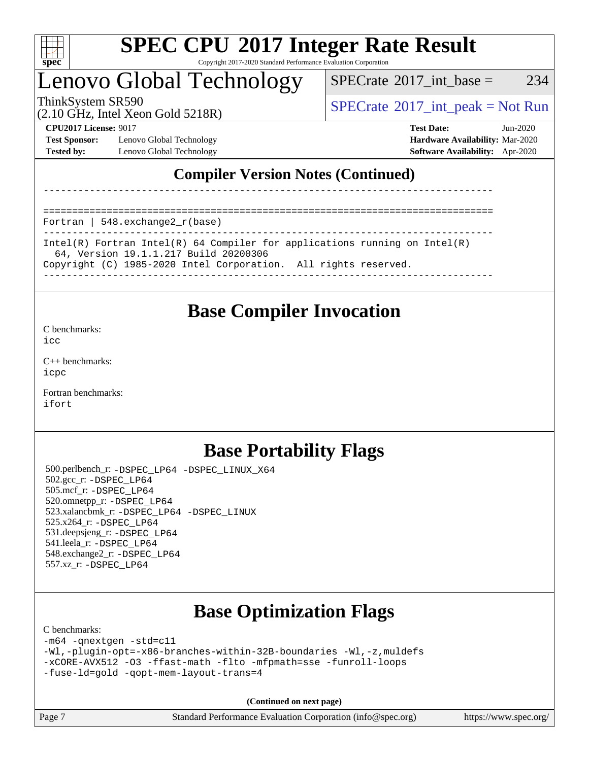

Copyright 2017-2020 Standard Performance Evaluation Corporation

## Lenovo Global Technology

 $SPECTate$ <sup>®</sup>[2017\\_int\\_base =](http://www.spec.org/auto/cpu2017/Docs/result-fields.html#SPECrate2017intbase) 234

(2.10 GHz, Intel Xeon Gold 5218R)

ThinkSystem SR590<br>  $SPECTA = Not Run$ <br>  $SPECTA = Not Run$ 

**[Test Sponsor:](http://www.spec.org/auto/cpu2017/Docs/result-fields.html#TestSponsor)** Lenovo Global Technology **[Hardware Availability:](http://www.spec.org/auto/cpu2017/Docs/result-fields.html#HardwareAvailability)** Mar-2020 **[Tested by:](http://www.spec.org/auto/cpu2017/Docs/result-fields.html#Testedby)** Lenovo Global Technology **[Software Availability:](http://www.spec.org/auto/cpu2017/Docs/result-fields.html#SoftwareAvailability)** Apr-2020

**[CPU2017 License:](http://www.spec.org/auto/cpu2017/Docs/result-fields.html#CPU2017License)** 9017 **[Test Date:](http://www.spec.org/auto/cpu2017/Docs/result-fields.html#TestDate)** Jun-2020

## **[Compiler Version Notes \(Continued\)](http://www.spec.org/auto/cpu2017/Docs/result-fields.html#CompilerVersionNotes)**

==============================================================================

Fortran | 548.exchange2\_r(base)

------------------------------------------------------------------------------ Intel(R) Fortran Intel(R) 64 Compiler for applications running on Intel(R) 64, Version 19.1.1.217 Build 20200306 Copyright (C) 1985-2020 Intel Corporation. All rights reserved.

------------------------------------------------------------------------------

------------------------------------------------------------------------------

## **[Base Compiler Invocation](http://www.spec.org/auto/cpu2017/Docs/result-fields.html#BaseCompilerInvocation)**

[C benchmarks](http://www.spec.org/auto/cpu2017/Docs/result-fields.html#Cbenchmarks):

[icc](http://www.spec.org/cpu2017/results/res2020q2/cpu2017-20200609-22865.flags.html#user_CCbase_intel_icc_66fc1ee009f7361af1fbd72ca7dcefbb700085f36577c54f309893dd4ec40d12360134090235512931783d35fd58c0460139e722d5067c5574d8eaf2b3e37e92)

[C++ benchmarks:](http://www.spec.org/auto/cpu2017/Docs/result-fields.html#CXXbenchmarks) [icpc](http://www.spec.org/cpu2017/results/res2020q2/cpu2017-20200609-22865.flags.html#user_CXXbase_intel_icpc_c510b6838c7f56d33e37e94d029a35b4a7bccf4766a728ee175e80a419847e808290a9b78be685c44ab727ea267ec2f070ec5dc83b407c0218cded6866a35d07)

[Fortran benchmarks](http://www.spec.org/auto/cpu2017/Docs/result-fields.html#Fortranbenchmarks): [ifort](http://www.spec.org/cpu2017/results/res2020q2/cpu2017-20200609-22865.flags.html#user_FCbase_intel_ifort_8111460550e3ca792625aed983ce982f94888b8b503583aa7ba2b8303487b4d8a21a13e7191a45c5fd58ff318f48f9492884d4413fa793fd88dd292cad7027ca)

## **[Base Portability Flags](http://www.spec.org/auto/cpu2017/Docs/result-fields.html#BasePortabilityFlags)**

 500.perlbench\_r: [-DSPEC\\_LP64](http://www.spec.org/cpu2017/results/res2020q2/cpu2017-20200609-22865.flags.html#b500.perlbench_r_basePORTABILITY_DSPEC_LP64) [-DSPEC\\_LINUX\\_X64](http://www.spec.org/cpu2017/results/res2020q2/cpu2017-20200609-22865.flags.html#b500.perlbench_r_baseCPORTABILITY_DSPEC_LINUX_X64) 502.gcc\_r: [-DSPEC\\_LP64](http://www.spec.org/cpu2017/results/res2020q2/cpu2017-20200609-22865.flags.html#suite_basePORTABILITY502_gcc_r_DSPEC_LP64) 505.mcf\_r: [-DSPEC\\_LP64](http://www.spec.org/cpu2017/results/res2020q2/cpu2017-20200609-22865.flags.html#suite_basePORTABILITY505_mcf_r_DSPEC_LP64) 520.omnetpp\_r: [-DSPEC\\_LP64](http://www.spec.org/cpu2017/results/res2020q2/cpu2017-20200609-22865.flags.html#suite_basePORTABILITY520_omnetpp_r_DSPEC_LP64) 523.xalancbmk\_r: [-DSPEC\\_LP64](http://www.spec.org/cpu2017/results/res2020q2/cpu2017-20200609-22865.flags.html#suite_basePORTABILITY523_xalancbmk_r_DSPEC_LP64) [-DSPEC\\_LINUX](http://www.spec.org/cpu2017/results/res2020q2/cpu2017-20200609-22865.flags.html#b523.xalancbmk_r_baseCXXPORTABILITY_DSPEC_LINUX) 525.x264\_r: [-DSPEC\\_LP64](http://www.spec.org/cpu2017/results/res2020q2/cpu2017-20200609-22865.flags.html#suite_basePORTABILITY525_x264_r_DSPEC_LP64) 531.deepsjeng\_r: [-DSPEC\\_LP64](http://www.spec.org/cpu2017/results/res2020q2/cpu2017-20200609-22865.flags.html#suite_basePORTABILITY531_deepsjeng_r_DSPEC_LP64) 541.leela\_r: [-DSPEC\\_LP64](http://www.spec.org/cpu2017/results/res2020q2/cpu2017-20200609-22865.flags.html#suite_basePORTABILITY541_leela_r_DSPEC_LP64) 548.exchange2\_r: [-DSPEC\\_LP64](http://www.spec.org/cpu2017/results/res2020q2/cpu2017-20200609-22865.flags.html#suite_basePORTABILITY548_exchange2_r_DSPEC_LP64) 557.xz\_r: [-DSPEC\\_LP64](http://www.spec.org/cpu2017/results/res2020q2/cpu2017-20200609-22865.flags.html#suite_basePORTABILITY557_xz_r_DSPEC_LP64)

## **[Base Optimization Flags](http://www.spec.org/auto/cpu2017/Docs/result-fields.html#BaseOptimizationFlags)**

[C benchmarks](http://www.spec.org/auto/cpu2017/Docs/result-fields.html#Cbenchmarks):

```
-m64 -qnextgen -std=c11
-Wl,-plugin-opt=-x86-branches-within-32B-boundaries -Wl,-z,muldefs
-xCORE-AVX512 -O3 -ffast-math -flto -mfpmath=sse -funroll-loops
-fuse-ld=gold -qopt-mem-layout-trans=4
```
**(Continued on next page)**

Page 7 Standard Performance Evaluation Corporation [\(info@spec.org\)](mailto:info@spec.org) <https://www.spec.org/>